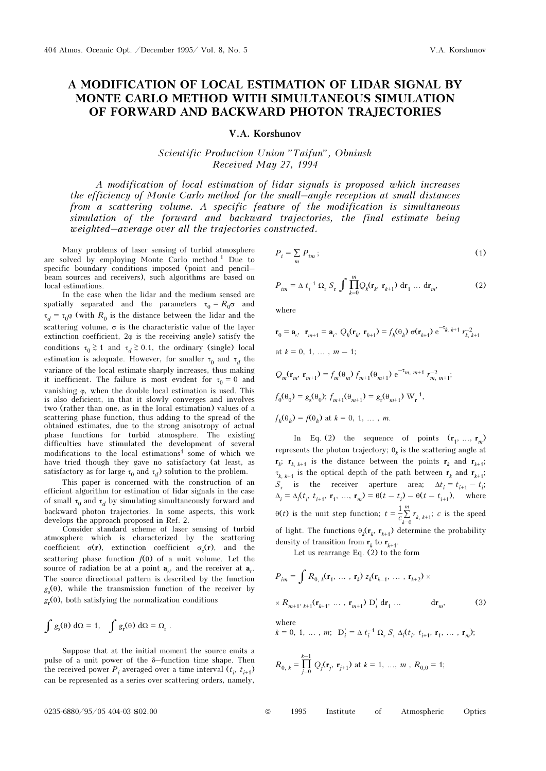## A MODIFICATION OF LOCAL ESTIMATION OF LIDAR SIGNAL BY MONTE CARLO METHOD WITH SIMULTANEOUS SIMULATION OF FORWARD AND BACKWARD PHOTON TRAJECTORIES

V.A. Korshunov

Scientific Production Union "Taifun", Obninsk Received May 27, 1994

A modification of local estimation of lidar signals is proposed which increases the efficiency of Monte Carlo method for the small–angle reception at small distances from a scattering volume. A specific feature of the modification is simultaneous simulation of the forward and backward trajectories, the final estimate being weighted–average over all the trajectories constructed.

Many problems of laser sensing of turbid atmosphere are solved by employing Monte Carlo method.1 Due to specific boundary conditions imposed (point and pencil– beam sources and receivers), such algorithms are based on local estimations.

In the case when the lidar and the medium sensed are spatially separated and the parameters  $\tau_0 = R_0 \sigma$  and  $\tau_d = \tau_0 \varphi$  (with  $R_0$  is the distance between the lidar and the scattering volume,  $\sigma$  is the characteristic value of the layer extinction coefficient,  $2\varphi$  is the receiving angle) satisfy the conditions  $\tau_0 \geq 1$  and  $\tau_d \geq 0.1$ , the ordinary (single) local<br>vertication is advantant Harmony for small  $\tau$ estimation is adequate. However, for smaller  $\tau_0$  and  $\tau_d$  the variance of the local estimate chambig increases they making variance of the local estimate sharply increases, thus making it inefficient. The failure is most evident for  $\tau_0 = 0$  and<br>exciption of the deviation is not the Thin vanishing ϕ, when the double local estimation is used. This is also deficient, in that it slowly converges and involves two (rather than one, as in the local estimation) values of a scattering phase function, thus adding to the spread of the obtained estimates, due to the strong anisotropy of actual phase functions for turbid atmosphere. The existing difficulties have stimulated the development of several modifications to the local estimations<sup>1</sup> some of which we have tried though they gave no satisfactory (at least, as satisfactory as for large  $\tau_0$  and  $\tau_d$ ) solution to the problem.<br>This paper is concerned with the construction of a

This paper is concerned with the construction of an efficient algorithm for estimation of lidar signals in the case of small  $\tau_0$  and  $\tau_d$  by simulating simultaneously forward and<br>beckward aboten trajectories. In some sepecte, this work backward photon trajectories. In some aspects, this work develops the approach proposed in Ref. 2.

Consider standard scheme of laser sensing of turbid atmosphere which is characterized by the scattering coefficient  $\sigma(\mathbf{r})$ , extinction coefficient  $\sigma_{\rho}(\mathbf{r})$ , and the scattering phase function  $f(\theta)$  of a unit volume. Let the source of radiation be at a point  $a_{\gamma}$ , and the receiver at  $a_{\gamma}$ . The source directional pattern is described by the function  $^{\circ s}$  $g(\theta)$ , while the transmission function of the receiver by  $g_r(\theta)$ , both satisfying the normalization conditions

$$
\int g_s(\theta) d\Omega = 1, \quad \int g_r(\theta) d\Omega = \Omega_r.
$$

Suppose that at the initial moment the source emits a pulse of a unit power of the δ–function time shape. Then the received power  $P_i$  averaged over a time interval  $(t_i, t_{i+1})$ can be represented as a series over scattering orders, namely,

$$
P_i = \sum_m P_{im} ; \t\t(1)
$$

$$
P_{im} = \Delta t_i^{-1} \Omega_r S_r \int \prod_{k=0}^{m} Q_k(\mathbf{r}_k, \mathbf{r}_{k+1}) d\mathbf{r}_1 \dots d\mathbf{r}_m,
$$
 (2)

where

$$
\mathbf{r}_0 = \mathbf{a}_s, \ \mathbf{r}_{m+1} = \mathbf{a}_r, \ Q_k(\mathbf{r}_k, \mathbf{r}_{k+1}) = f_k(\theta_k) \ \sigma(\mathbf{r}_{k+1}) \ e^{-\tau_{k, k+1}} r_{k, k+1}^{-2}
$$
  
at  $k = 0, 1, ..., m - 1$ ;  

$$
Q_m(\mathbf{r}_m, \mathbf{r}_{m+1}) = f_m(\theta_m) \ f_{m+1}(\theta_{m+1}) \ e^{-\tau_{m, m+1}} \ r_{m, m+1}^{-2}
$$

$$
f_0(\theta_0) = g_s(\theta_0); \ f_{m+1}(\theta_{m+1}) = g_r(\theta_{m+1}) \ W_r^{-1},
$$

$$
f_k(\theta_k) = f(\theta_k) \ \text{at } k = 0, 1, ..., m.
$$

In Eq. (2) the sequence of points  $(\mathbf{r}_1, ..., \mathbf{r}_m)$ represents the photon trajectory;  $θ<sub>μ</sub>$  is the scattering angle at  $\mathbf{r}_k$ ;  $\mathbf{r}_{k,k+1}$  is the distance between the points  $\mathbf{r}_k$  and  $\mathbf{r}_{k+1}$ ;  $\tau_{k, k+1}$  is the optical depth of the path between  $\mathbf{r}_k$  and  $\mathbf{r}_{k+1}$ ;  $S_r$  is the receiver aperture area;  $\Delta t_i = t_{i+1} - t_i;$  $\Delta_i = \Delta_i(t_i, t_{i+1}, \mathbf{r}_1, \dots, \mathbf{r}_m) = \Theta(t - t_i) - \Theta(t - t_{i+1}),$  where  $\theta(t)$  is the unit step function;  $t = \frac{1}{c} \sum_{k=0}^{m} r_{k, k+1}$ ; c is the speed of light. The functions  $\theta_k(\mathbf{r}_k, \mathbf{r}_{k+1})$  determine the probability density of transition from  $\mathbf{r}_k$  to  $\mathbf{r}_{k+1}$ .<br>Let us represen Eq. (2) to the

Let us rearrange Eq.  $(2)$  to the form

$$
P_{im} = \int R_{0, k}(\mathbf{r}_{1}, \dots, \mathbf{r}_{k}) z_{k}(\mathbf{r}_{k-1}, \dots, \mathbf{r}_{k+2}) \times
$$
  
×  $R_{m+1, k+1}(\mathbf{r}_{k+1}, \dots, \mathbf{r}_{m+1}) D'_{i} d\mathbf{r}_{1} \dots d\mathbf{r}_{m},$  (3)

where

$$
k = 0, 1, ..., m; \mathbf{D}'_i = \Delta t_i^{-1} \Omega_r S_r \Delta_i(t_i, t_{i+1}, \mathbf{r}_1, ..., \mathbf{r}_m);
$$

$$
R_{0, k} = \prod_{j=0}^{k-1} Q_j(\mathbf{r}_j, \mathbf{r}_{j+1})
$$
 at  $k = 1, ..., m$ ,  $R_{0, 0} = 1$ ;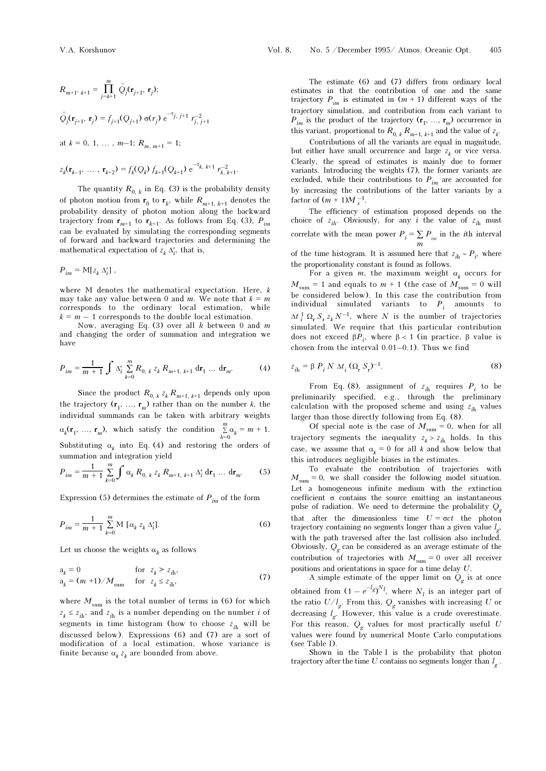$$
R_{m+1',k+1} = \prod_{j=k+1}^{m} \hat{Q}_j(\mathbf{r}_{j+1}, \mathbf{r}_j);
$$
  
\n
$$
\hat{Q}_j(\mathbf{r}_{j+1}, \mathbf{r}_j) = f_{j+1}(Q_{j+1}) \sigma(r_j) e^{-\tau_{j,j+1}} r_{j,j+1}^{-2}
$$
  
\nat  $k = 0, 1, ..., m-1; R_{m, m+1} = 1;$   
\n
$$
z_k(\mathbf{r}_{k-1}, ..., \mathbf{r}_{k+2}) = f_k(Q_k) f_{k+1}(Q_{k+1}) e^{-\tau_{k, k+1}} r_{k, k+1}^{-2}.
$$

The quantity  $R_{0, k}$  in Eq. (3) is the probability density of photon motion from  $\mathbf{r}_0$  to  $\mathbf{r}_k$ , while  $R_{m+1, k+1}$  denotes the probability density of photon motion along the backward trajectory from  $\mathbf{r}_{m+1}$  to  $\mathbf{r}_{k+1}$ . As follows from Eq. (3),  $P_{im}$ can be evaluated by simulating the corresponding segments of forward and backward trajectories and determining the mathematical expectation of  $z_k \Delta'_i$ , that is,

$$
P_{im} = M[z_k \Delta'_i],
$$

where M denotes the mathematical expectation. Here, k may take any value between 0 and m. We note that  $k = m$ corresponds to the ordinary local estimation, while  $k = m - 1$  corresponds to the double local estimation.

Now, averaging Eq. (3) over all  $k$  between 0 and  $m$ and changing the order of summation and integration we have

$$
P_{im} = \frac{1}{m+1} \int \Delta'_i \sum_{k=0}^m R_{0, k} z_k R_{m+1, k+1} \, \mathrm{d} \mathbf{r}_1 \, \dots \, \mathrm{d} \mathbf{r}_m. \tag{4}
$$

Since the product  $R_{0, k} z_k R_{m+1, k+1}$  depends only upon the trajectory  $(\mathbf{r}_1, ..., \mathbf{r}_m)$  rather than on the number k, the individual supposeds are be taken with arbitrary weights individual summands can be taken with arbitrary weights  $\alpha_k(\mathbf{r}_1, \ldots, \mathbf{r}_m)$ , which satisfy the condition  $\sum_{k=0}^{m}$ .  $\sum_{k=0}^{m} \alpha_k = m + 1.$ Substituting  $\alpha_k$  into Eq. (4) and restoring the orders of summation and integration yield

$$
P_{im} = \frac{1}{m+1} \sum_{k=0}^{m} \int \alpha_k R_{0, k} z_k R_{m+1, k+1} \Delta'_i \, \mathrm{d} \mathbf{r}_1 \, \dots \, \mathrm{d} \mathbf{r}_m. \tag{5}
$$

Expression (5) determines the estimate of  $P_{im}$  of the form

$$
P_{im} = \frac{1}{m+1} \sum_{k=0}^{m} M \left[ \alpha_k z_k \Delta_i' \right]. \tag{6}
$$

Let us choose the weights  $\alpha_k$  as follows

$$
a_k = 0 \qquad \text{for } z_k > z_{ih},
$$
  
\n
$$
a_k = (m + 1) / M_{sum} \qquad \text{for } z_k \le z_{ih},
$$
\n(7)

where  $M_{\text{sum}}$  is the total number of terms in (6) for which  $z_k \leq z_{ih}$ , and  $z_{ih}$  is a number depending on the number i of segments in time histogram (how to choose  $z_{ih}$  will be discussed below). Expressions (6) and (7) are a sort of modification of a local estimation, whose variance is finite because  $\alpha_k z_k$  are bounded from above.

The estimate (6) and (7) differs from ordinary local estimates in that the contribution of one and the same trajectory  $P_{im}$  is estimated in  $(m + 1)$  different ways of the trajectory simulation, and contribution from each variant to  $P_{im}$  is the product of the trajectory  $(\mathbf{r}_1, ..., \mathbf{r}_m)$  occurrence in this variant, proportional to  $R_{0, k} R_{m+1, k+1}$  and the value of  $z_k$ .

Contributions of all the variants are equal in magnitude, but either have small occurrence and large  $z<sub>k</sub>$  or vice versa. k Clearly, the spread of estimates is mainly due to former variants. Introducing the weights (7), the former variants are excluded, while their contributions to  $P_{im}$  are accounted for by increasing the contributions of the latter variants by a factor of  $(m + 1)M_{s}^{-1}$ .

The efficiency of estimation proposed depends on the choice of  $z_{ih}$ . Obviously, for any *i* the value of  $z_{ih}$  must correlate with the mean power  $P_i \equiv \sum P_{_{im}}$  in the  $i\text{th}$  interval m of the time histogram. It is assumed here that  $z_{ih} \sim P_i$ , where the associationality constant is found as follows

the proportionality constant is found as follows. For a given m, the maximum weight  $\alpha_k$  occurs for  $M_{\text{sum}} = 1$  and equals to  $m + 1$  (the case of  $M_{\text{sum}} = 0$  will<br>be considered below). In this case the contribution from be considered below). In this case the contribution from individual simulated variants to  $P_i$  amounts to  $\Delta t_i^1 \Omega_r S_r z_k N^{-1}$ , where N is the number of trajectories<br>simulated We require that this perticular contribution simulated. We require that this particular contribution does not exceed  $βP_i$ , where  $β < 1$  (in practice, β value is chosen from the interval 0.01–0.1). Thus we find

$$
z_{ih} = \beta P_i N \Delta t_i (\Omega_r S_r)^{-1}.
$$
 (8)

From Eq. (8), assignment of  $z_{ih}$  requires  $P_i$  to be preliminarily specified, e.g., through the preliminary calculation with the proposed scheme and using  $z_{ih}$  values larger than those directly following from Eq. (8).

Of special note is the case of  $M_{\text{sum}} = 0$ , when for all<br>these convents the incredible case is helder In this trajectory segments the inequality  $z_k > z_{ih}$  holds. In this case, we assume that  $\alpha_k = 0$  for all k and show below that k this introduces negligible biases in the estimates.

To evaluate the contribution of trajectories with  $M_{\text{sum}} = 0$ , we shall consider the following model situation. Let a homogeneous infinite medium with the extinction coefficient  $\sigma$  contains the source emitting an instantaneous pulse of radiation. We need to determine the probability  $Q_a$ that after the dimensionless time  $U = \sigma ct$  the photon trajectory containing no segments longer than a given value  $l_{\alpha}$ , with the path traversed after the last collision also included. Obviously,  $Q_{\sigma}$  can be considered as an average estimate of the contribution of trajectories with  $M_{\text{sum}} = 0$  over all receiver positions and orientations in space for a time delay U.

A simple estimate of the upper limit on  $Q_g$  is at once obtained from  $(1 - e^{-l}g)^{N}l$ , where  $N_l$  is an integer part of the ratio  $U/l_g$ . From this,  $Q_g$  vanishes with increasing U or decreasing L However, this value is a quybe overceivate decreasing  $l_{\sigma}$ . However, this value is a crude overestimate. For this reason,  $Q_g$  values for most practically useful U values were found by numerical Monte Carlo computations (see Table I).

Shown in the Table I is the probability that photon trajectory after the time U contains no segments longer than  $l_g$ .